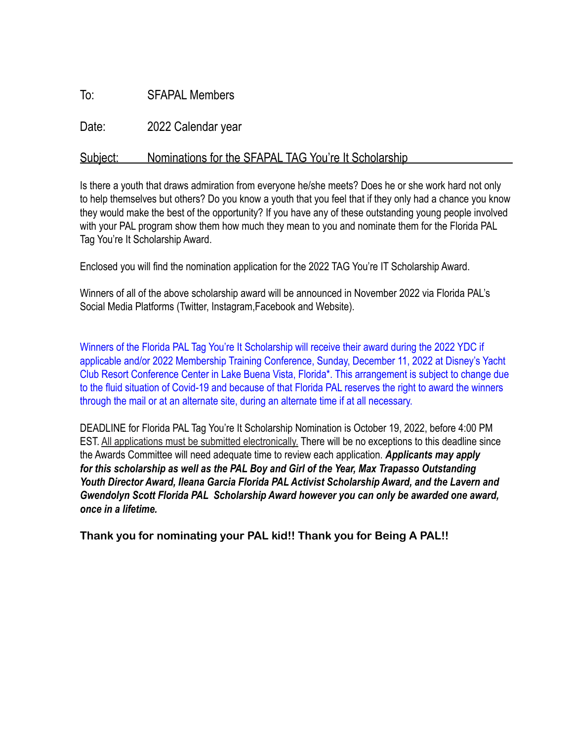## To: SFAPAL Members

Date: 2022 Calendar year

## Subject: Nominations for the SFAPAL TAG You're It Scholarship

Is there a youth that draws admiration from everyone he/she meets? Does he or she work hard not only to help themselves but others? Do you know a youth that you feel that if they only had a chance you know they would make the best of the opportunity? If you have any of these outstanding young people involved with your PAL program show them how much they mean to you and nominate them for the Florida PAL Tag You're It Scholarship Award.

Enclosed you will find the nomination application for the 2022 TAG You're IT Scholarship Award.

Winners of all of the above scholarship award will be announced in November 2022 via Florida PAL's Social Media Platforms (Twitter, Instagram,Facebook and Website).

Winners of the Florida PAL Tag You're It Scholarship will receive their award during the 2022 YDC if applicable and/or 2022 Membership Training Conference, Sunday, December 11, 2022 at Disney's Yacht Club Resort Conference Center in Lake Buena Vista, Florida\*. This arrangement is subject to change due to the fluid situation of Covid-19 and because of that Florida PAL reserves the right to award the winners through the mail or at an alternate site, during an alternate time if at all necessary.

DEADLINE for Florida PAL Tag You're It Scholarship Nomination is October 19, 2022, before 4:00 PM EST. All applications must be submitted electronically. There will be no exceptions to this deadline since the Awards Committee will need adequate time to review each application. *Applicants may apply for this scholarship as well as the PAL Boy and Girl of the Year, Max Trapasso Outstanding Youth Director Award, Ileana Garcia Florida PAL Activist Scholarship Award, and the Lavern and Gwendolyn Scott Florida PAL Scholarship Award however you can only be awarded one award, once in a lifetime.* 

**Thank you for nominating your PAL kid!! Thank you for Being A PAL!!**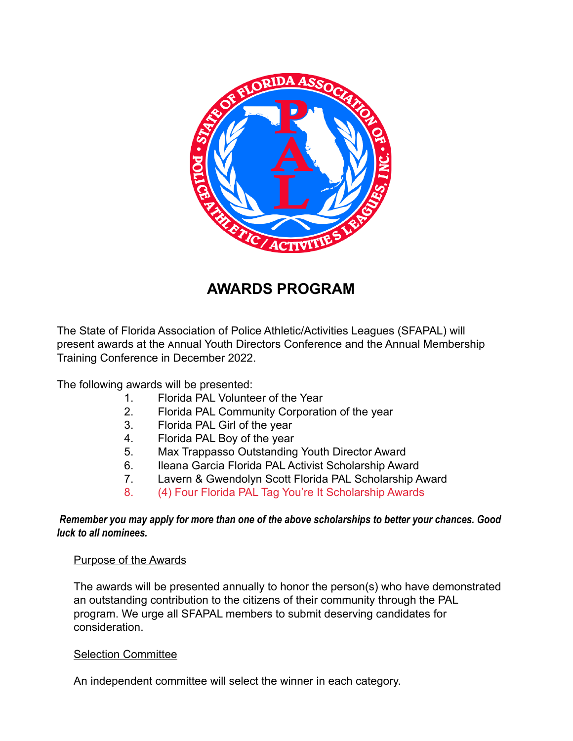

# **AWARDS PROGRAM**

The State of Florida Association of Police Athletic/Activities Leagues (SFAPAL) will present awards at the Annual Youth Directors Conference and the Annual Membership Training Conference in December 2022.

The following awards will be presented:

- 1. Florida PAL Volunteer of the Year
- 2. Florida PAL Community Corporation of the year
- 3. Florida PAL Girl of the year
- 4. Florida PAL Boy of the year
- 5. Max Trappasso Outstanding Youth Director Award
- 6. Ileana Garcia Florida PAL Activist Scholarship Award
- 7. Lavern & Gwendolyn Scott Florida PAL Scholarship Award
- 8. (4) Four Florida PAL Tag You're It Scholarship Awards

#### *Remember you may apply for more than one of the above scholarships to better your chances. Good luck to all nominees.*

#### Purpose of the Awards

The awards will be presented annually to honor the person(s) who have demonstrated an outstanding contribution to the citizens of their community through the PAL program. We urge all SFAPAL members to submit deserving candidates for consideration.

#### Selection Committee

An independent committee will select the winner in each category.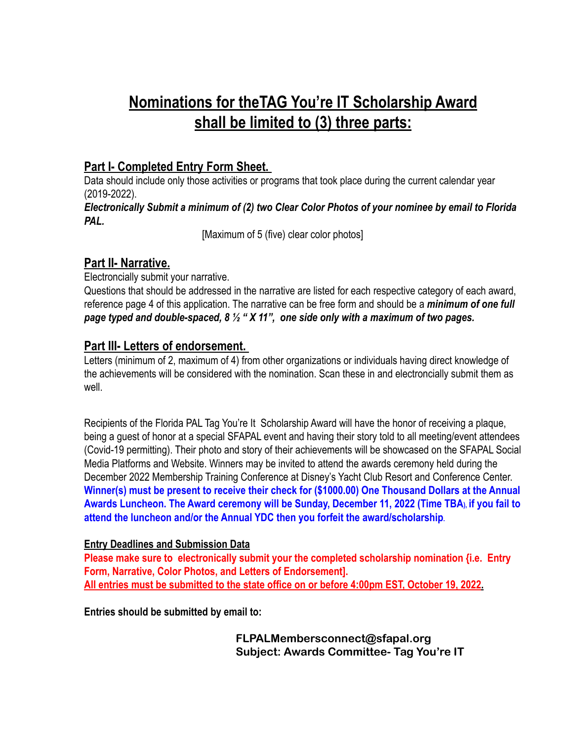# **Nominations for theTAG You're IT Scholarship Award shall be limited to (3) three parts:**

# **Part I- Completed Entry Form Sheet.**

Data should include only those activities or programs that took place during the current calendar year (2019-2022).

#### *Electronically Submit a minimum of (2) two Clear Color Photos of your nominee by email to Florida PAL.*

[Maximum of 5 (five) clear color photos]

# **Part II- Narrative.**

Electroncially submit your narrative.

Questions that should be addressed in the narrative are listed for each respective category of each award, reference page 4 of this application. The narrative can be free form and should be a *minimum of one full page typed and double-spaced, 8 ½ " X 11", one side only with a maximum of two pages.* 

## **Part III- Letters of endorsement.**

Letters (minimum of 2, maximum of 4) from other organizations or individuals having direct knowledge of the achievements will be considered with the nomination. Scan these in and electroncially submit them as well.

Recipients of the Florida PAL Tag You're It Scholarship Award will have the honor of receiving a plaque, being a guest of honor at a special SFAPAL event and having their story told to all meeting/event attendees (Covid-19 permitting). Their photo and story of their achievements will be showcased on the SFAPAL Social Media Platforms and Website. Winners may be invited to attend the awards ceremony held during the December 2022 Membership Training Conference at Disney's Yacht Club Resort and Conference Center. **Winner(s) must be present to receive their check for (\$1000.00) One Thousand Dollars at the Annual Awards Luncheon. The Award ceremony will be Sunday, December 11, 2022 (Time TBA), if you fail to attend the luncheon and/or the Annual YDC then you forfeit the award/scholarship.** 

#### **Entry Deadlines and Submission Data**

**Please make sure to electronically submit your the completed scholarship nomination {i.e. Entry Form, Narrative, Color Photos, and Letters of Endorsement]. All entries must be submitted to the state office on or before 4:00pm EST, October 19, 2022.**

**Entries should be submitted by email to:**

**FLPALMembersconnect@sfapal.org Subject: Awards Committee- Tag You're IT**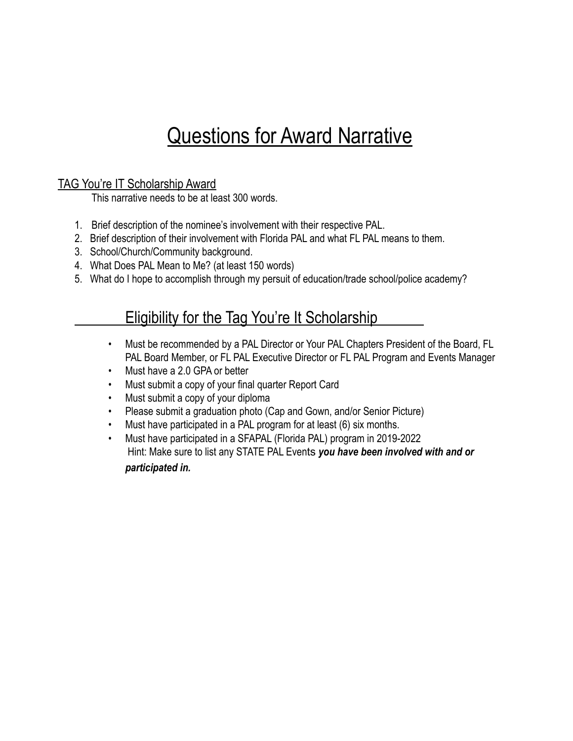# Questions for Award Narrative

## TAG You're IT Scholarship Award

This narrative needs to be at least 300 words.

- 1. Brief description of the nominee's involvement with their respective PAL.
- 2. Brief description of their involvement with Florida PAL and what FL PAL means to them.
- 3. School/Church/Community background.
- 4. What Does PAL Mean to Me? (at least 150 words)
- 5. What do I hope to accomplish through my persuit of education/trade school/police academy?

# Eligibility for the Tag You're It Scholarship

- Must be recommended by a PAL Director or Your PAL Chapters President of the Board, FL PAL Board Member, or FL PAL Executive Director or FL PAL Program and Events Manager
- Must have a 2.0 GPA or better
- Must submit a copy of your final quarter Report Card
- Must submit a copy of your diploma
- Please submit a graduation photo (Cap and Gown, and/or Senior Picture)
- Must have participated in a PAL program for at least (6) six months.
- Must have participated in a SFAPAL (Florida PAL) program in 2019-2022 Hint: Make sure to list any STATE PAL Events *you have been involved with and or participated in.*